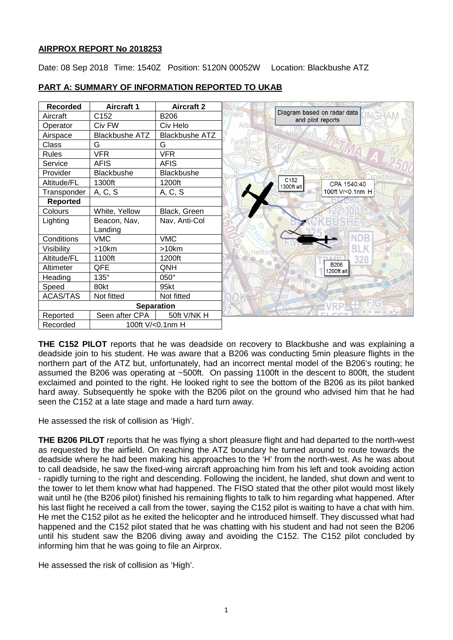# **AIRPROX REPORT No 2018253**

Date: 08 Sep 2018 Time: 1540Z Position: 5120N 00052W Location: Blackbushe ATZ



# **PART A: SUMMARY OF INFORMATION REPORTED TO UKAB**

**THE C152 PILOT** reports that he was deadside on recovery to Blackbushe and was explaining a deadside join to his student. He was aware that a B206 was conducting 5min pleasure flights in the northern part of the ATZ but, unfortunately, had an incorrect mental model of the B206's routing; he assumed the B206 was operating at ~500ft. On passing 1100ft in the descent to 800ft, the student exclaimed and pointed to the right. He looked right to see the bottom of the B206 as its pilot banked hard away. Subsequently he spoke with the B206 pilot on the ground who advised him that he had seen the C152 at a late stage and made a hard turn away.

He assessed the risk of collision as 'High'.

**THE B206 PILOT** reports that he was flying a short pleasure flight and had departed to the north-west as requested by the airfield. On reaching the ATZ boundary he turned around to route towards the deadside where he had been making his approaches to the 'H' from the north-west. As he was about to call deadside, he saw the fixed-wing aircraft approaching him from his left and took avoiding action - rapidly turning to the right and descending. Following the incident, he landed, shut down and went to the tower to let them know what had happened. The FISO stated that the other pilot would most likely wait until he (the B206 pilot) finished his remaining flights to talk to him regarding what happened. After his last flight he received a call from the tower, saying the C152 pilot is waiting to have a chat with him. He met the C152 pilot as he exited the helicopter and he introduced himself. They discussed what had happened and the C152 pilot stated that he was chatting with his student and had not seen the B206 until his student saw the B206 diving away and avoiding the C152. The C152 pilot concluded by informing him that he was going to file an Airprox.

He assessed the risk of collision as 'High'.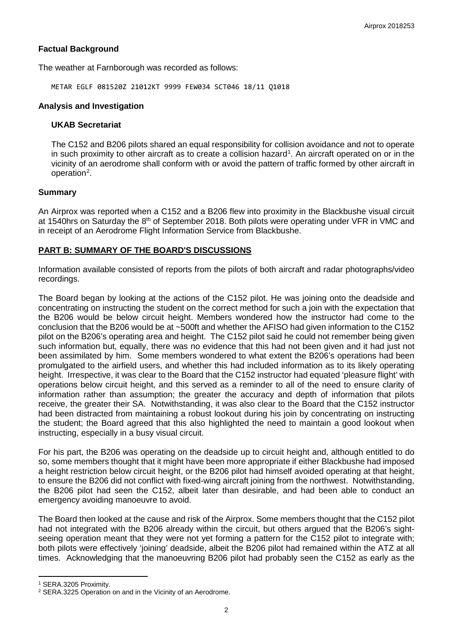# **Factual Background**

The weather at Farnborough was recorded as follows:

METAR EGLF 081520Z 21012KT 9999 FEW034 SCT046 18/11 Q1018

### **Analysis and Investigation**

#### **UKAB Secretariat**

The C152 and B206 pilots shared an equal responsibility for collision avoidance and not to operate in such proximity to other aircraft as to create a collision hazard<sup>[1](#page-1-0)</sup>. An aircraft operated on or in the vicinity of an aerodrome shall conform with or avoid the pattern of traffic formed by other aircraft in operation<sup>[2](#page-1-1)</sup>.

# **Summary**

An Airprox was reported when a C152 and a B206 flew into proximity in the Blackbushe visual circuit at 1540hrs on Saturday the 8<sup>th</sup> of September 2018. Both pilots were operating under VFR in VMC and in receipt of an Aerodrome Flight Information Service from Blackbushe.

# **PART B: SUMMARY OF THE BOARD'S DISCUSSIONS**

Information available consisted of reports from the pilots of both aircraft and radar photographs/video recordings.

The Board began by looking at the actions of the C152 pilot. He was joining onto the deadside and concentrating on instructing the student on the correct method for such a join with the expectation that the B206 would be below circuit height. Members wondered how the instructor had come to the conclusion that the B206 would be at ~500ft and whether the AFISO had given information to the C152 pilot on the B206's operating area and height. The C152 pilot said he could not remember being given such information but, equally, there was no evidence that this had not been given and it had just not been assimilated by him. Some members wondered to what extent the B206's operations had been promulgated to the airfield users, and whether this had included information as to its likely operating height. Irrespective, it was clear to the Board that the C152 instructor had equated 'pleasure flight' with operations below circuit height, and this served as a reminder to all of the need to ensure clarity of information rather than assumption; the greater the accuracy and depth of information that pilots receive, the greater their SA. Notwithstanding, it was also clear to the Board that the C152 instructor had been distracted from maintaining a robust lookout during his join by concentrating on instructing the student; the Board agreed that this also highlighted the need to maintain a good lookout when instructing, especially in a busy visual circuit.

For his part, the B206 was operating on the deadside up to circuit height and, although entitled to do so, some members thought that it might have been more appropriate if either Blackbushe had imposed a height restriction below circuit height, or the B206 pilot had himself avoided operating at that height, to ensure the B206 did not conflict with fixed-wing aircraft joining from the northwest. Notwithstanding, the B206 pilot had seen the C152, albeit later than desirable, and had been able to conduct an emergency avoiding manoeuvre to avoid.

The Board then looked at the cause and risk of the Airprox. Some members thought that the C152 pilot had not integrated with the B206 already within the circuit, but others argued that the B206's sightseeing operation meant that they were not yet forming a pattern for the C152 pilot to integrate with; both pilots were effectively 'joining' deadside, albeit the B206 pilot had remained within the ATZ at all times. Acknowledging that the manoeuvring B206 pilot had probably seen the C152 as early as the

l

<span id="page-1-0"></span><sup>1</sup> SERA.3205 Proximity.

<span id="page-1-1"></span><sup>2</sup> SERA.3225 Operation on and in the Vicinity of an Aerodrome.